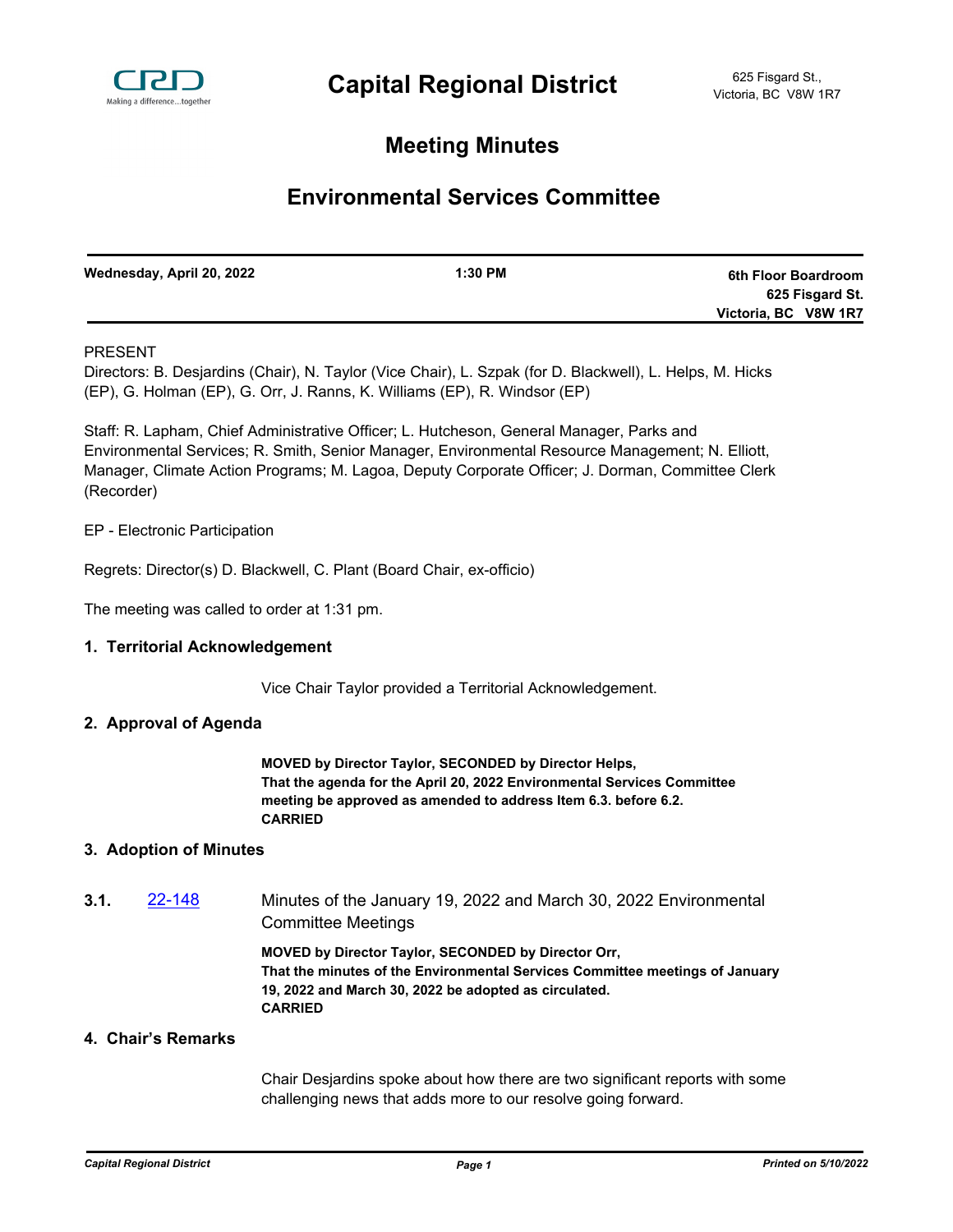

## **Meeting Minutes**

# **Environmental Services Committee**

| Wednesday, April 20, 2022 | $1:30$ PM | 6th Floor Boardroom  |
|---------------------------|-----------|----------------------|
|                           |           | 625 Fisgard St.      |
|                           |           | Victoria, BC V8W 1R7 |

## PRESENT

Directors: B. Desjardins (Chair), N. Taylor (Vice Chair), L. Szpak (for D. Blackwell), L. Helps, M. Hicks (EP), G. Holman (EP), G. Orr, J. Ranns, K. Williams (EP), R. Windsor (EP)

Staff: R. Lapham, Chief Administrative Officer; L. Hutcheson, General Manager, Parks and Environmental Services; R. Smith, Senior Manager, Environmental Resource Management; N. Elliott, Manager, Climate Action Programs; M. Lagoa, Deputy Corporate Officer; J. Dorman, Committee Clerk (Recorder)

#### EP - Electronic Participation

Regrets: Director(s) D. Blackwell, C. Plant (Board Chair, ex-officio)

The meeting was called to order at 1:31 pm.

#### **1. Territorial Acknowledgement**

Vice Chair Taylor provided a Territorial Acknowledgement.

#### **2. Approval of Agenda**

**MOVED by Director Taylor, SECONDED by Director Helps, That the agenda for the April 20, 2022 Environmental Services Committee meeting be approved as amended to address Item 6.3. before 6.2. CARRIED**

#### **3. Adoption of Minutes**

**3.1.** [22-148](http://crd.ca.legistar.com/gateway.aspx?m=l&id=/matter.aspx?key=9004) Minutes of the January 19, 2022 and March 30, 2022 Environmental Committee Meetings

> **MOVED by Director Taylor, SECONDED by Director Orr, That the minutes of the Environmental Services Committee meetings of January 19, 2022 and March 30, 2022 be adopted as circulated. CARRIED**

### **4. Chair's Remarks**

Chair Desjardins spoke about how there are two significant reports with some challenging news that adds more to our resolve going forward.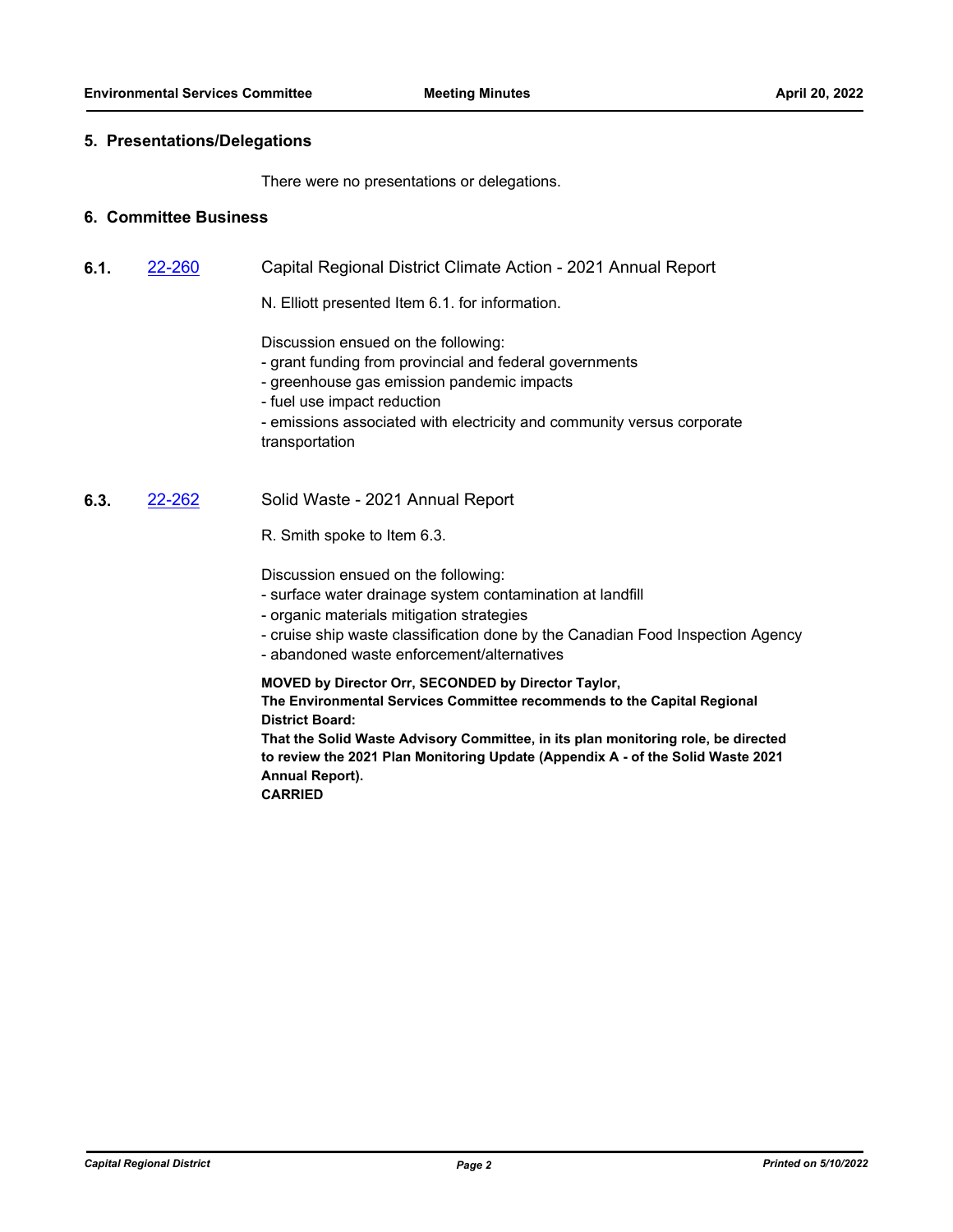#### **5. Presentations/Delegations**

There were no presentations or delegations.

### **6. Committee Business**

- **6.1.** [22-260](http://crd.ca.legistar.com/gateway.aspx?m=l&id=/matter.aspx?key=9116) Capital Regional District Climate Action 2021 Annual Report
	- N. Elliott presented Item 6.1. for information.

Discussion ensued on the following:

- grant funding from provincial and federal governments
- greenhouse gas emission pandemic impacts
- fuel use impact reduction
- emissions associated with electricity and community versus corporate transportation

## **6.3.** [22-262](http://crd.ca.legistar.com/gateway.aspx?m=l&id=/matter.aspx?key=9118) Solid Waste - 2021 Annual Report

R. Smith spoke to Item 6.3.

Discussion ensued on the following:

- surface water drainage system contamination at landfill
- organic materials mitigation strategies
- cruise ship waste classification done by the Canadian Food Inspection Agency
- abandoned waste enforcement/alternatives

**MOVED by Director Orr, SECONDED by Director Taylor,** 

**The Environmental Services Committee recommends to the Capital Regional District Board:**

**That the Solid Waste Advisory Committee, in its plan monitoring role, be directed to review the 2021 Plan Monitoring Update (Appendix A - of the Solid Waste 2021 Annual Report).**

**CARRIED**